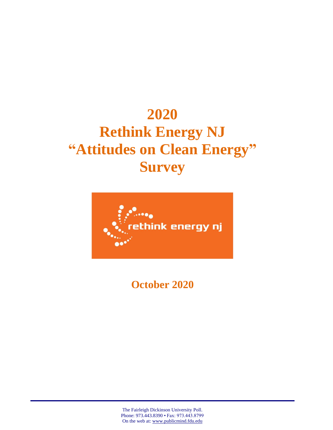## **2020 Rethink Energy NJ "Attitudes on Clean Energy" Survey**



**October 2020**

The Fairleigh Dickinson University Poll. Phone: 973.443.8390 • Fax: 973.443.8799 On the web at: [www.publicmind.fdu.edu](http://www.publicmind.fdu.edu/)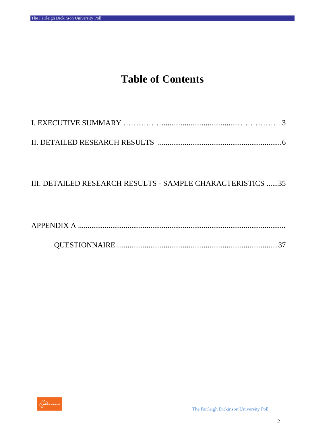### **Table of Contents**

#### III. DETAILED RESEARCH RESULTS - SAMPLE CHARACTERISTICS ......35

|--|--|

|--|

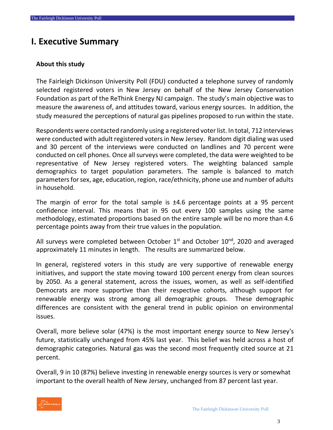#### **I. Executive Summary**

#### **About this study**

The Fairleigh Dickinson University Poll (FDU) conducted a telephone survey of randomly selected registered voters in New Jersey on behalf of the New Jersey Conservation Foundation as part of the ReThink Energy NJ campaign. The study's main objective was to measure the awareness of, and attitudes toward, various energy sources. In addition, the study measured the perceptions of natural gas pipelines proposed to run within the state.

Respondents were contacted randomly using a registered voter list. In total, 712 interviews were conducted with adult registered voters in New Jersey. Random digit dialing was used and 30 percent of the interviews were conducted on landlines and 70 percent were conducted on cell phones. Once all surveys were completed, the data were weighted to be representative of New Jersey registered voters. The weighting balanced sample demographics to target population parameters. The sample is balanced to match parameters for sex, age, education, region, race/ethnicity, phone use and number of adults in household.

The margin of error for the total sample is  $\pm 4.6$  percentage points at a 95 percent confidence interval. This means that in 95 out every 100 samples using the same methodology, estimated proportions based on the entire sample will be no more than 4.6 percentage points away from their true values in the population.

All surveys were completed between October  $1<sup>st</sup>$  and October  $10<sup>nd</sup>$ , 2020 and averaged approximately 11 minutes in length. The results are summarized below.

In general, registered voters in this study are very supportive of renewable energy initiatives, and support the state moving toward 100 percent energy from clean sources by 2050. As a general statement, across the issues, women, as well as self-identified Democrats are more supportive than their respective cohorts, although support for renewable energy was strong among all demographic groups. These demographic differences are consistent with the general trend in public opinion on environmental issues.

Overall, more believe solar (47%) is the most important energy source to New Jersey's future, statistically unchanged from 45% last year. This belief was held across a host of demographic categories. Natural gas was the second most frequently cited source at 21 percent.

Overall, 9 in 10 (87%) believe investing in renewable energy sources is very or somewhat important to the overall health of New Jersey, unchanged from 87 percent last year.

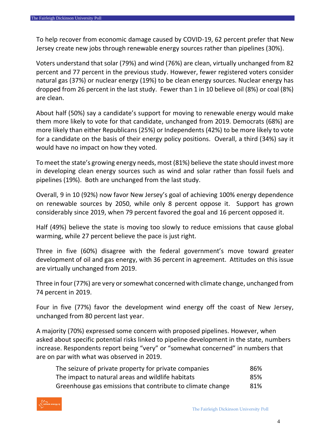To help recover from economic damage caused by COVID-19, 62 percent prefer that New Jersey create new jobs through renewable energy sources rather than pipelines (30%).

Voters understand that solar (79%) and wind (76%) are clean, virtually unchanged from 82 percent and 77 percent in the previous study. However, fewer registered voters consider natural gas (37%) or nuclear energy (19%) to be clean energy sources. Nuclear energy has dropped from 26 percent in the last study. Fewer than 1 in 10 believe oil (8%) or coal (8%) are clean.

About half (50%) say a candidate's support for moving to renewable energy would make them more likely to vote for that candidate, unchanged from 2019. Democrats (68%) are more likely than either Republicans (25%) or Independents (42%) to be more likely to vote for a candidate on the basis of their energy policy positions. Overall, a third (34%) say it would have no impact on how they voted.

To meet the state's growing energy needs, most (81%) believe the state should invest more in developing clean energy sources such as wind and solar rather than fossil fuels and pipelines (19%). Both are unchanged from the last study.

Overall, 9 in 10 (92%) now favor New Jersey's goal of achieving 100% energy dependence on renewable sources by 2050, while only 8 percent oppose it. Support has grown considerably since 2019, when 79 percent favored the goal and 16 percent opposed it.

Half (49%) believe the state is moving too slowly to reduce emissions that cause global warming, while 27 percent believe the pace is just right.

Three in five (60%) disagree with the federal government's move toward greater development of oil and gas energy, with 36 percent in agreement. Attitudes on this issue are virtually unchanged from 2019.

Three in four(77%) are very or somewhat concerned with climate change, unchanged from 74 percent in 2019.

Four in five (77%) favor the development wind energy off the coast of New Jersey, unchanged from 80 percent last year.

A majority (70%) expressed some concern with proposed pipelines. However, when asked about specific potential risks linked to pipeline development in the state, numbers increase. Respondents report being "very" or "somewhat concerned" in numbers that are on par with what was observed in 2019.

| The seizure of private property for private companies      | 86% |
|------------------------------------------------------------|-----|
| The impact to natural areas and wildlife habitats          | 85% |
| Greenhouse gas emissions that contribute to climate change | 81% |

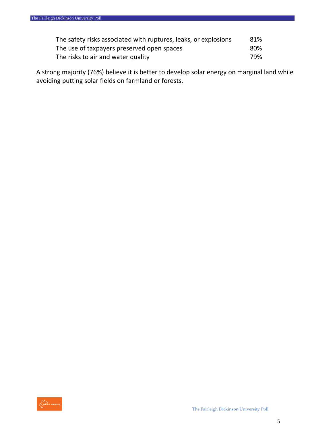| The safety risks associated with ruptures, leaks, or explosions | 81%  |
|-----------------------------------------------------------------|------|
| The use of taxpayers preserved open spaces                      | -80% |
| The risks to air and water quality                              | 79%  |

A strong majority (76%) believe it is better to develop solar energy on marginal land while avoiding putting solar fields on farmland or forests.

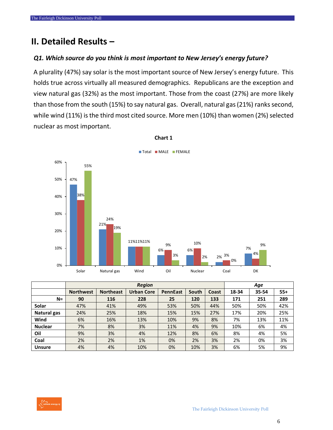#### **II. Detailed Results –**

#### *Q1. Which source do you think is most important to New Jersey's energy future?*

A plurality (47%) say solar is the most important source of New Jersey's energy future. This holds true across virtually all measured demographics. Republicans are the exception and view natural gas (32%) as the most important. Those from the coast (27%) are more likely than those from the south (15%) to say natural gas. Overall, natural gas (21%) ranks second, while wind (11%) is the third most cited source. More men (10%) than women (2%) selected nuclear as most important.



#### **Chart 1**

|                |                  |                  | <b>Region</b>     |                 |       |       | Age   |       |       |  |
|----------------|------------------|------------------|-------------------|-----------------|-------|-------|-------|-------|-------|--|
|                | <b>Northwest</b> | <b>Northeast</b> | <b>Urban Core</b> | <b>PennEast</b> | South | Coast | 18-34 | 35-54 | $55+$ |  |
| $N=$           | 90               | 116              | 228               | 25              | 120   | 133   | 171   | 251   | 289   |  |
| Solar          | 47%              | 41%              | 49%               | 53%             | 50%   | 44%   | 50%   | 50%   | 42%   |  |
| Natural gas    | 24%              | 25%              | 18%               | 15%             | 15%   | 27%   | 17%   | 20%   | 25%   |  |
| Wind           | 6%               | 16%              | 13%               | 10%             | 9%    | 8%    | 7%    | 13%   | 11%   |  |
| <b>Nuclear</b> | 7%               | 8%               | 3%                | 11%             | 4%    | 9%    | 10%   | 6%    | 4%    |  |
| Oil            | 9%               | 3%               | 4%                | 12%             | 8%    | 6%    | 8%    | 4%    | 5%    |  |
| Coal           | 2%               | 2%               | 1%                | 0%              | 2%    | 3%    | 2%    | 0%    | 3%    |  |
| <b>Unsure</b>  | 4%               | 4%               | 10%               | 0%              | 10%   | 3%    | 6%    | 5%    | 9%    |  |

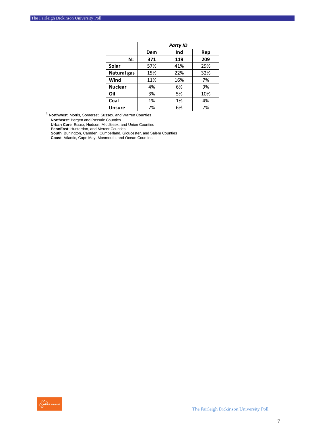|                |     | <b>Party ID</b> |     |
|----------------|-----|-----------------|-----|
|                | Dem | Ind             | Rep |
| $N =$          | 371 | 119             | 209 |
| Solar          | 57% | 41%             | 29% |
| Natural gas    | 15% | 22%             | 32% |
| Wind           | 11% | 16%             | 7%  |
| <b>Nuclear</b> | 4%  | 6%              | 9%  |
| Oil            | 3%  | 5%              | 10% |
| Coal           | 1%  | 1%              | 4%  |
| <b>Unsure</b>  | 7%  | 6%              | 7%  |

**<sup>1</sup>Northwest**: Morris, Somerset, Sussex, and Warren Counties

**Northeast**: Bergen and Passaic Counties

**Urban Core**: Essex, Hudson, Middlesex, and Union Counties

**PennEast**: Hunterdon, and Mercer Counties

**South**: Burlington, Camden, Cumberland, Gloucester, and Salem Counties

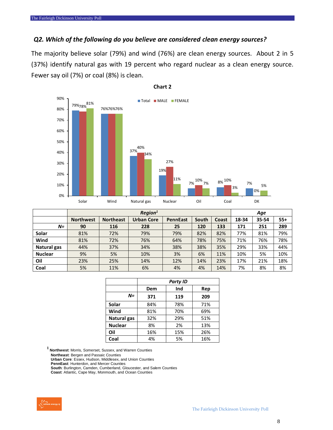#### *Q2. Which of the following do you believe are considered clean energy sources?*

The majority believe solar (79%) and wind (76%) are clean energy sources. About 2 in 5 (37%) identify natural gas with 19 percent who regard nuclear as a clean energy source. Fewer say oil (7%) or coal (8%) is clean.



#### **Chart 2**

|                |                  |                  | Region <sup>1</sup> |                 |       |       | Age   |       |       |  |
|----------------|------------------|------------------|---------------------|-----------------|-------|-------|-------|-------|-------|--|
|                | <b>Northwest</b> | <b>Northeast</b> | <b>Urban Core</b>   | <b>PennEast</b> | South | Coast | 18-34 | 35-54 | $55+$ |  |
| $N=$           | 90               | 116              | 228                 | 25              | 120   | 133   | 171   | 251   | 289   |  |
| Solar          | 81%              | 72%              | 79%                 | 79%             | 82%   | 82%   | 77%   | 81%   | 79%   |  |
| Wind           | 81%              | 72%              | 76%                 | 64%             | 78%   | 75%   | 71%   | 76%   | 78%   |  |
| Natural gas    | 44%              | 37%              | 34%                 | 38%             | 38%   | 35%   | 29%   | 33%   | 44%   |  |
| <b>Nuclear</b> | 9%               | 5%               | 10%                 | 3%              | 6%    | 11%   | 10%   | 5%    | 10%   |  |
| Oil            | 23%              | 25%              | 14%                 | 12%             | 14%   | 23%   | 17%   | 21%   | 18%   |  |
| Coal           | 5%               | 11%              | 6%                  | 4%              | 4%    | 14%   | 7%    | 8%    | 8%    |  |

|                |     | <b>Party ID</b> |     |
|----------------|-----|-----------------|-----|
|                | Dem | Ind             | Rep |
| $N =$          | 371 | 119             | 209 |
| Solar          | 84% | 78%             | 71% |
| Wind           | 81% | 70%             | 69% |
| Natural gas    | 32% | 29%             | 51% |
| <b>Nuclear</b> | 8%  | 2%              | 13% |
| Oil            | 16% | 15%             | 26% |
| Coal           | 4%  | 5%              | 16% |

**<sup>1</sup>Northwest**: Morris, Somerset, Sussex, and Warren Counties

**Northeast**: Bergen and Passaic Counties

**Urban Core**: Essex, Hudson, Middlesex, and Union Counties

**PennEast**: Hunterdon, and Mercer Counties

**South**: Burlington, Camden, Cumberland, Gloucester, and Salem Counties

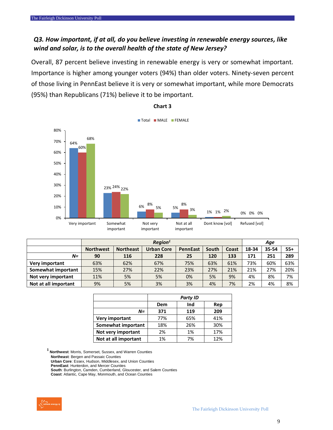#### *Q3. How important, if at all, do you believe investing in renewable energy sources, like wind and solar, is to the overall health of the state of New Jersey?*

Overall, 87 percent believe investing in renewable energy is very or somewhat important. Importance is higher among younger voters (94%) than older voters. Ninety-seven percent of those living in PennEast believe it is very or somewhat important, while more Democrats (95%) than Republicans (71%) believe it to be important.



**Chart 3**

|                      |                  | Region <sup>1</sup> |                   |                 |       |       |       |       |       |
|----------------------|------------------|---------------------|-------------------|-----------------|-------|-------|-------|-------|-------|
|                      | <b>Northwest</b> | <b>Northeast</b>    | <b>Urban Core</b> | <b>PennEast</b> | South | Coast | 18-34 | 35-54 | $55+$ |
| N=                   | 90               | 116                 | 228               | 25              | 120   | 133   | 171   | 251   | 289   |
| Very important       | 63%              | 62%                 | 67%               | 75%             | 63%   | 61%   | 73%   | 60%   | 63%   |
| Somewhat important   | 15%              | 27%                 | 22%               | 23%             | 27%   | 21%   | 21%   | 27%   | 20%   |
| Not very important   | 11%              | 5%                  | 5%                | 0%              | 5%    | 9%    | 4%    | 8%    | 7%    |
| Not at all important | 9%               | 5%                  | 3%                | 3%              | 4%    | 7%    | 2%    | 4%    | 8%    |

|                      |     | <b>Party ID</b> |     |
|----------------------|-----|-----------------|-----|
|                      | Dem | Ind             | Rep |
| N=                   | 371 | 119             | 209 |
| Very important       | 77% | 65%             | 41% |
| Somewhat important   | 18% | 26%             | 30% |
| Not very important   | 2%  | 1%              | 17% |
| Not at all important | 1%  | 7%              | 12% |

**<sup>1</sup>Northwest**: Morris, Somerset, Sussex, and Warren Counties **Northeast**: Bergen and Passaic Counties

**Urban Core**: Essex, Hudson, Middlesex, and Union Counties

**PennEast**: Hunterdon, and Mercer Counties

**South**: Burlington, Camden, Cumberland, Gloucester, and Salem Counties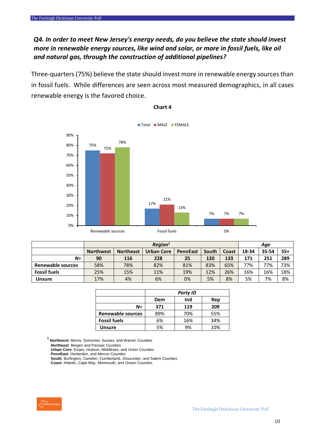#### *Q4. In order to meet New Jersey's energy needs, do you believe the state should invest more in renewable energy sources, like wind and solar, or more in fossil fuels, like oil and natural gas, through the construction of additional pipelines?*

Three-quarters (75%) believe the state should invest more in renewable energy sources than in fossil fuels. While differences are seen across most measured demographics, in all cases renewable energy is the favored choice.

![](_page_9_Figure_3.jpeg)

#### **Chart 4**

|                     |                  | Region <sup>1</sup>                                                        |     |     |     |       |       | Age   |     |
|---------------------|------------------|----------------------------------------------------------------------------|-----|-----|-----|-------|-------|-------|-----|
|                     | <b>Northwest</b> | <b>Urban Core</b><br><b>Northeast</b><br>South<br><b>PennEast</b><br>Coast |     |     |     | 18-34 | 35-54 | $55+$ |     |
| N=                  | 90               | 116                                                                        | 228 | 25  | 120 | 133   | 171   | 251   | 289 |
| Renewable sources   | 58%              | 78%                                                                        | 82% | 81% | 83% | 65%   | 77%   | 77%   | 73% |
| <b>Fossil fuels</b> | 25%              | 15%                                                                        | 11% | 19% | 12% | 26%   | 16%   | 16%   | 18% |
| <b>Unsure</b>       | 17%              | 4%                                                                         | 6%  | 0%  | 5%  | 8%    | 5%    | 7%    | 8%  |

|                     | <b>Party ID</b> |     |     |  |  |  |  |
|---------------------|-----------------|-----|-----|--|--|--|--|
|                     | Dem             | Ind | Rep |  |  |  |  |
| N=                  | 371             | 119 | 209 |  |  |  |  |
| Renewable sources   | 89%             | 70% | 55% |  |  |  |  |
| <b>Fossil fuels</b> | 6%              | 16% | 34% |  |  |  |  |
| <b>Unsure</b>       | 5%              | 9%  | 10% |  |  |  |  |

**<sup>1</sup>Northwest**: Morris, Somerset, Sussex, and Warren Counties

**Northeast**: Bergen and Passaic Counties

**Urban Core**: Essex, Hudson, Middlesex, and Union Counties

**PennEast**: Hunterdon, and Mercer Counties

**South**: Burlington, Camden, Cumberland, Gloucester, and Salem Counties

![](_page_9_Picture_13.jpeg)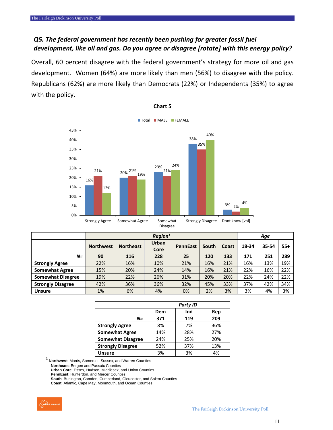#### *Q5. The federal government has recently been pushing for greater fossil fuel development, like oil and gas. Do you agree or disagree [rotate] with this energy policy?*

Overall, 60 percent disagree with the federal government's strategy for more oil and gas development. Women (64%) are more likely than men (56%) to disagree with the policy. Republicans (62%) are more likely than Democrats (22%) or Independents (35%) to agree with the policy.

![](_page_10_Figure_3.jpeg)

**Chart 5**

|                          | Region <sup>1</sup> |                  |                      |                 |       |       |       | Age   |       |  |
|--------------------------|---------------------|------------------|----------------------|-----------------|-------|-------|-------|-------|-------|--|
|                          | <b>Northwest</b>    | <b>Northeast</b> | <b>Urban</b><br>Core | <b>PennEast</b> | South | Coast | 18-34 | 35-54 | $55+$ |  |
| $N=$                     | 90                  | 116              | 228                  | 25              | 120   | 133   | 171   | 251   | 289   |  |
| <b>Strongly Agree</b>    | 22%                 | 16%              | 10%                  | 21%             | 16%   | 21%   | 16%   | 13%   | 19%   |  |
| <b>Somewhat Agree</b>    | 15%                 | 20%              | 24%                  | 14%             | 16%   | 21%   | 22%   | 16%   | 22%   |  |
| <b>Somewhat Disagree</b> | 19%                 | 22%              | 26%                  | 31%             | 20%   | 20%   | 22%   | 24%   | 22%   |  |
| <b>Strongly Disagree</b> | 42%                 | 36%              | 36%                  | 32%             | 45%   | 33%   | 37%   | 42%   | 34%   |  |
| <b>Unsure</b>            | 1%                  | 6%               | 4%                   | 0%              | 2%    | 3%    | 3%    | 4%    | 3%    |  |

|                          |     | <b>Party ID</b> |     |
|--------------------------|-----|-----------------|-----|
|                          | Dem | Ind             | Rep |
| N=                       | 371 | 119             | 209 |
| <b>Strongly Agree</b>    | 8%  | 7%              | 36% |
| <b>Somewhat Agree</b>    | 14% | 28%             | 27% |
| <b>Somewhat Disagree</b> | 24% | 25%             | 20% |
| <b>Strongly Disagree</b> | 52% | 37%             | 13% |
| <b>Unsure</b>            | 3%  | 3%              | 4%  |

**<sup>1</sup>Northwest**: Morris, Somerset, Sussex, and Warren Counties

**Northeast**: Bergen and Passaic Counties

**Urban Core**: Essex, Hudson, Middlesex, and Union Counties

**PennEast**: Hunterdon, and Mercer Counties

**South**: Burlington, Camden, Cumberland, Gloucester, and Salem Counties

![](_page_10_Picture_13.jpeg)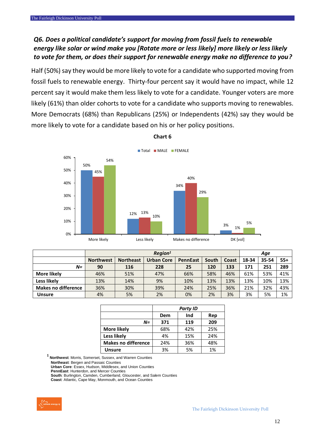#### *Q6. Does a political candidate's support for moving from fossil fuels to renewable energy like solar or wind make you [Rotate more or less likely] more likely or less likely to vote for them, or does their support for renewable energy make no difference to you?*

Half (50%) say they would be more likely to vote for a candidate who supported moving from fossil fuels to renewable energy. Thirty-four percent say it would have no impact, while 12 percent say it would make them less likely to vote for a candidate. Younger voters are more likely (61%) than older cohorts to vote for a candidate who supports moving to renewables. More Democrats (68%) than Republicans (25%) or Independents (42%) say they would be more likely to vote for a candidate based on his or her policy positions.

![](_page_11_Figure_3.jpeg)

#### **Chart 6**

|                            |                  | Reaion <sup>1</sup> |                   |                 |       |       |       |       | Age   |  |  |
|----------------------------|------------------|---------------------|-------------------|-----------------|-------|-------|-------|-------|-------|--|--|
|                            | <b>Northwest</b> | <b>Northeast</b>    | <b>Urban Core</b> | <b>PennEast</b> | South | Coast | 18-34 | 35-54 | $55+$ |  |  |
| N=                         | 90               | 116                 | 228               | 25              | 120   | 133   | 171   | 251   | 289   |  |  |
| More likely                | 46%              | 51%                 | 47%               | 66%             | 58%   | 46%   | 61%   | 53%   | 41%   |  |  |
| Less likely                | 13%              | 14%                 | 9%                | 10%             | 13%   | 13%   | 13%   | 10%   | 13%   |  |  |
| <b>Makes no difference</b> | 36%              | 30%                 | 39%               | 24%             | 25%   | 36%   | 21%   | 32%   | 43%   |  |  |
| <b>Unsure</b>              | 4%               | 5%                  | 2%                | 0%              | 2%    | 3%    | 3%    | 5%    | 1%    |  |  |

|                            |     | <b>Party ID</b> |     |
|----------------------------|-----|-----------------|-----|
|                            | Dem | Ind             | Rep |
| $N =$                      | 371 | 119             | 209 |
| <b>More likely</b>         | 68% | 42%             | 25% |
| Less likely                | 4%  | 15%             | 24% |
| <b>Makes no difference</b> | 24% | 36%             | 48% |
| <b>Unsure</b>              | 3%  | 5%              | 1%  |

**<sup>1</sup>Northwest**: Morris, Somerset, Sussex, and Warren Counties

**Northeast**: Bergen and Passaic Counties

**Urban Core**: Essex, Hudson, Middlesex, and Union Counties

**PennEast**: Hunterdon, and Mercer Counties

**South**: Burlington, Camden, Cumberland, Gloucester, and Salem Counties

![](_page_11_Picture_13.jpeg)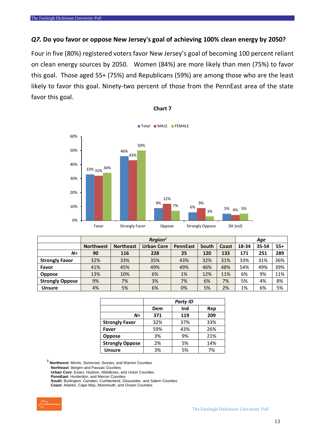#### *Q7.* **Do you favor or oppose New Jersey's goal of achieving 100% clean energy by 2050?**

Four in five (80%) registered voters favor New Jersey's goal of becoming 100 percent reliant on clean energy sources by 2050. Women (84%) are more likely than men (75%) to favor this goal. Those aged 55+ (75%) and Republicans (59%) are among those who are the least likely to favor this goal. Ninety-two percent of those from the PennEast area of the state favor this goal.

![](_page_12_Figure_3.jpeg)

#### **Chart 7**

|                        |                  |                  | Region <sup>1</sup> |                 |       |       | Age   |       |       |
|------------------------|------------------|------------------|---------------------|-----------------|-------|-------|-------|-------|-------|
|                        | <b>Northwest</b> | <b>Northeast</b> | <b>Urban Core</b>   | <b>PennEast</b> | South | Coast | 18-34 | 35-54 | $55+$ |
| $N =$                  | 90               | 116              | 228                 | 25              | 120   | 133   | 171   | 251   | 289   |
| <b>Strongly Favor</b>  | 32%              | 33%              | 35%                 | 43%             | 32%   | 31%   | 33%   | 31%   | 36%   |
| Favor                  | 41%              | 45%              | 49%                 | 49%             | 46%   | 48%   | 54%   | 49%   | 39%   |
| <b>Oppose</b>          | 13%              | 10%              | 6%                  | 1%              | 12%   | 11%   | 6%    | 9%    | 11%   |
| <b>Strongly Oppose</b> | 9%               | 7%               | 3%                  | 7%              | 6%    | 7%    | 5%    | 4%    | 8%    |
| <b>Unsure</b>          | 4%               | 5%               | 6%                  | 0%              | 5%    | 2%    | 1%    | 6%    | 5%    |

|                        |     | <b>Party ID</b> |     |
|------------------------|-----|-----------------|-----|
|                        | Dem | Ind             | Rep |
| $N =$                  | 371 | 119             | 209 |
| <b>Strongly Favor</b>  | 32% | 37%             | 33% |
| Favor                  | 59% | 43%             | 26% |
| <b>Oppose</b>          | 3%  | 9%              | 21% |
| <b>Strongly Oppose</b> | 2%  | 5%              | 14% |
| <b>Unsure</b>          | 3%  | 5%              | 7%  |

**<sup>1</sup>Northwest**: Morris, Somerset, Sussex, and Warren Counties

**Northeast**: Bergen and Passaic Counties

**Urban Core**: Essex, Hudson, Middlesex, and Union Counties

**PennEast**: Hunterdon, and Mercer Counties

**South**: Burlington, Camden, Cumberland, Gloucester, and Salem Counties

![](_page_12_Picture_13.jpeg)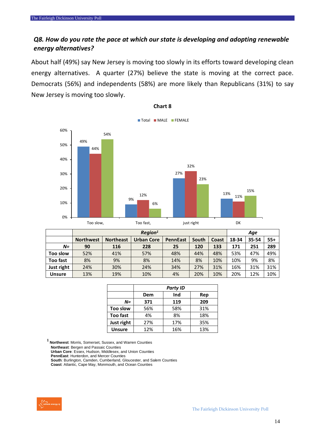#### *Q8. How do you rate the pace at which our state is developing and adopting renewable energy alternatives?*

About half (49%) say New Jersey is moving too slowly in its efforts toward developing clean energy alternatives. A quarter (27%) believe the state is moving at the correct pace. Democrats (56%) and independents (58%) are more likely than Republicans (31%) to say New Jersey is moving too slowly.

![](_page_13_Figure_3.jpeg)

**Chart 8**

|                 | $\textit{Region}^1$ |                  |                   |                 |       |       | Age   |       |       |
|-----------------|---------------------|------------------|-------------------|-----------------|-------|-------|-------|-------|-------|
|                 | <b>Northwest</b>    | <b>Northeast</b> | <b>Urban Core</b> | <b>PennEast</b> | South | Coast | 18-34 | 35-54 | $55+$ |
| $N =$           | 90                  | 116              | 228               | 25              | 120   | 133   | 171   | 251   | 289   |
| Too slow        | 52%                 | 41%              | 57%               | 48%             | 44%   | 48%   | 53%   | 47%   | 49%   |
| <b>Too fast</b> | 8%                  | 9%               | 8%                | 14%             | 8%    | 10%   | 10%   | 9%    | 8%    |
| Just right      | 24%                 | 30%              | 24%               | 34%             | 27%   | 31%   | 16%   | 31%   | 31%   |
| <b>Unsure</b>   | 13%                 | 19%              | 10%               | 4%              | 20%   | 10%   | 20%   | 12%   | 10%   |

|                 |     | <b>Party ID</b> |     |
|-----------------|-----|-----------------|-----|
|                 | Dem | Ind             | Rep |
| $N =$           | 371 | 119             | 209 |
| Too slow        | 56% |                 | 31% |
| <b>Too fast</b> | 4%  | 8%              | 18% |
| Just right      | 27% |                 | 35% |
| <b>Unsure</b>   | 12% | 16%             | 13% |

**<sup>1</sup>Northwest**: Morris, Somerset, Sussex, and Warren Counties

**Northeast**: Bergen and Passaic Counties

**Urban Core**: Essex, Hudson, Middlesex, and Union Counties

**PennEast**: Hunterdon, and Mercer Counties **South**: Burlington, Camden, Cumberland, Gloucester, and Salem Counties

![](_page_13_Picture_13.jpeg)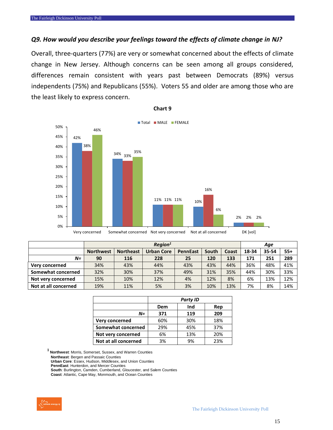#### *Q9. How would you describe your feelings toward the effects of climate change in NJ?*

Overall, three-quarters (77%) are very or somewhat concerned about the effects of climate change in New Jersey. Although concerns can be seen among all groups considered, differences remain consistent with years past between Democrats (89%) versus independents (75%) and Republicans (55%). Voters 55 and older are among those who are the least likely to express concern.

![](_page_14_Figure_3.jpeg)

#### **Chart 9**

|                      |                  | Region <sup>1</sup> |                   |                 |       |       |       | Age   |       |  |
|----------------------|------------------|---------------------|-------------------|-----------------|-------|-------|-------|-------|-------|--|
|                      | <b>Northwest</b> | <b>Northeast</b>    | <b>Urban Core</b> | <b>PennEast</b> | South | Coast | 18-34 | 35-54 | $55+$ |  |
| N=                   | 90               | 116                 | 228               | 25              | 120   | 133   | 171   | 251   | 289   |  |
| Very concerned       | 34%              | 43%                 | 44%               | 43%             | 43%   | 44%   | 36%   | 48%   | 41%   |  |
| Somewhat concerned   | 32%              | 30%                 | 37%               | 49%             | 31%   | 35%   | 44%   | 30%   | 33%   |  |
| Not very concerned   | 15%              | 10%                 | 12%               | 4%              | 12%   | 8%    | 6%    | 13%   | 12%   |  |
| Not at all concerned | 19%              | 11%                 | 5%                | 3%              | 10%   | 13%   | 7%    | 8%    | 14%   |  |

|                      | <b>Party ID</b> |     |     |  |  |  |  |
|----------------------|-----------------|-----|-----|--|--|--|--|
|                      | Dem             | Ind | Rep |  |  |  |  |
| $N =$                | 371             | 119 | 209 |  |  |  |  |
| Very concerned       | 60%             | 30% | 18% |  |  |  |  |
| Somewhat concerned   | 29%             | 45% | 37% |  |  |  |  |
| Not very concerned   | 6%              | 13% | 20% |  |  |  |  |
| Not at all concerned | 3%              | 9%  | 23% |  |  |  |  |

**<sup>1</sup>Northwest**: Morris, Somerset, Sussex, and Warren Counties

**Northeast**: Bergen and Passaic Counties

**Urban Core**: Essex, Hudson, Middlesex, and Union Counties **PennEast**: Hunterdon, and Mercer Counties

**South**: Burlington, Camden, Cumberland, Gloucester, and Salem Counties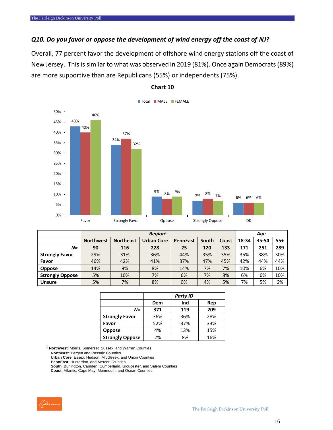#### *Q10. Do you favor or oppose the development of wind energy off the coast of NJ?*

Overall, 77 percent favor the development of offshore wind energy stations off the coast of New Jersey. This is similar to what was observed in 2019 (81%). Once again Democrats (89%) are more supportive than are Republicans (55%) or independents (75%).

![](_page_15_Figure_3.jpeg)

#### **Chart 10**

|                        | Region <sup>1</sup> |                  |                   |                 |       |       |       | Age   |       |  |
|------------------------|---------------------|------------------|-------------------|-----------------|-------|-------|-------|-------|-------|--|
|                        | <b>Northwest</b>    | <b>Northeast</b> | <b>Urban Core</b> | <b>PennEast</b> | South | Coast | 18-34 | 35-54 | $55+$ |  |
| $N =$                  | 90                  | 116              | 228               | 25              | 120   | 133   | 171   | 251   | 289   |  |
| <b>Strongly Favor</b>  | 29%                 | 31%              | 36%               | 44%             | 35%   | 35%   | 35%   | 38%   | 30%   |  |
| Favor                  | 46%                 | 42%              | 41%               | 37%             | 47%   | 45%   | 42%   | 44%   | 44%   |  |
| <b>Oppose</b>          | 14%                 | 9%               | 8%                | 14%             | 7%    | 7%    | 10%   | 6%    | 10%   |  |
| <b>Strongly Oppose</b> | 5%                  | 10%              | 7%                | 6%              | 7%    | 8%    | 6%    | 6%    | 10%   |  |
| <b>Unsure</b>          | 5%                  | 7%               | 8%                | 0%              | 4%    | 5%    | 7%    | 5%    | 6%    |  |

|                        |     | <b>Party ID</b> |     |  |  |  |  |
|------------------------|-----|-----------------|-----|--|--|--|--|
|                        | Dem | Ind             | Rep |  |  |  |  |
| N=                     | 371 | 119             | 209 |  |  |  |  |
| <b>Strongly Favor</b>  | 36% | 36%             | 28% |  |  |  |  |
| Favor                  | 52% | 37%             | 33% |  |  |  |  |
| <b>Oppose</b>          | 4%  | 13%             | 15% |  |  |  |  |
| <b>Strongly Oppose</b> | 2%  | 8%              | 16% |  |  |  |  |

**<sup>1</sup>Northwest**: Morris, Somerset, Sussex, and Warren Counties

**Northeast**: Bergen and Passaic Counties

**Urban Core**: Essex, Hudson, Middlesex, and Union Counties

**PennEast**: Hunterdon, and Mercer Counties

**South**: Burlington, Camden, Cumberland, Gloucester, and Salem Counties

![](_page_15_Picture_13.jpeg)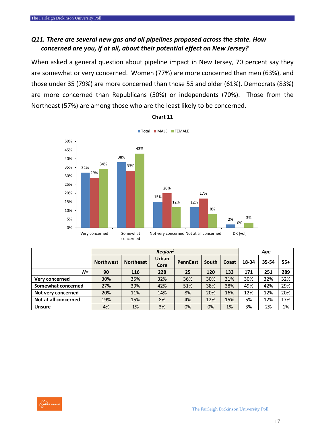#### *Q11. There are several new gas and oil pipelines proposed across the state. How concerned are you, if at all, about their potential effect on New Jersey?*

When asked a general question about pipeline impact in New Jersey, 70 percent say they are somewhat or very concerned. Women (77%) are more concerned than men (63%), and those under 35 (79%) are more concerned than those 55 and older (61%). Democrats (83%) are more concerned than Republicans (50%) or independents (70%). Those from the Northeast (57%) are among those who are the least likely to be concerned.

![](_page_16_Figure_3.jpeg)

**Chart 11**

|                      |                  | $\textit{Region}^1$ |              |                 |       |       |       | Age   |       |  |
|----------------------|------------------|---------------------|--------------|-----------------|-------|-------|-------|-------|-------|--|
|                      | <b>Northwest</b> | <b>Northeast</b>    | <b>Urban</b> | <b>PennEast</b> | South | Coast | 18-34 | 35-54 | $55+$ |  |
|                      |                  |                     | Core         |                 |       |       |       |       |       |  |
| $N =$                | 90               | 116                 | 228          | 25              | 120   | 133   | 171   | 251   | 289   |  |
| Very concerned       | 30%              | 35%                 | 32%          | 36%             | 30%   | 31%   | 30%   | 32%   | 32%   |  |
| Somewhat concerned   | 27%              | 39%                 | 42%          | 51%             | 38%   | 38%   | 49%   | 42%   | 29%   |  |
| Not very concerned   | 20%              | 11%                 | 14%          | 8%              | 20%   | 16%   | 12%   | 12%   | 20%   |  |
| Not at all concerned | 19%              | 15%                 | 8%           | 4%              | 12%   | 15%   | 5%    | 12%   | 17%   |  |
| <b>Unsure</b>        | 4%               | 1%                  | 3%           | 0%              | 0%    | 1%    | 3%    | 2%    | 1%    |  |

![](_page_16_Picture_6.jpeg)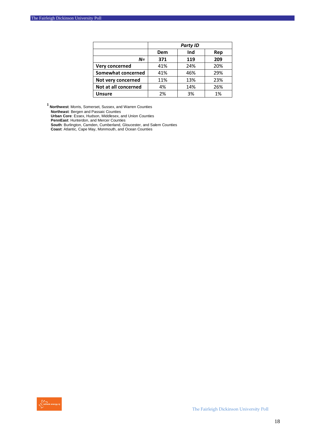|                      |     | <b>Party ID</b> |     |
|----------------------|-----|-----------------|-----|
|                      | Dem | Ind             | Rep |
| $N =$                | 371 | 119             | 209 |
| Very concerned       | 41% | 24%             | 20% |
| Somewhat concerned   | 41% | 46%             | 29% |
| Not very concerned   | 11% | 13%             | 23% |
| Not at all concerned | 4%  | 14%             | 26% |
| <b>Unsure</b>        | 2%  | 3%              | 1%  |

**<sup>1</sup>Northwest**: Morris, Somerset, Sussex, and Warren Counties

**Northeast**: Bergen and Passaic Counties

**Urban Core**: Essex, Hudson, Middlesex, and Union Counties

**PennEast**: Hunterdon, and Mercer Counties

**South**: Burlington, Camden, Cumberland, Gloucester, and Salem Counties

![](_page_17_Picture_8.jpeg)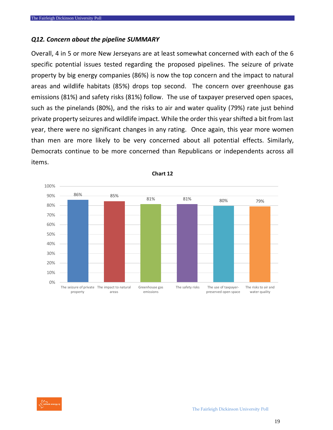#### *Q12. Concern about the pipeline SUMMARY*

Overall, 4 in 5 or more New Jerseyans are at least somewhat concerned with each of the 6 specific potential issues tested regarding the proposed pipelines. The seizure of private property by big energy companies (86%) is now the top concern and the impact to natural areas and wildlife habitats (85%) drops top second. The concern over greenhouse gas emissions (81%) and safety risks (81%) follow. The use of taxpayer preserved open spaces, such as the pinelands (80%), and the risks to air and water quality (79%) rate just behind private property seizures and wildlife impact. While the order this year shifted a bit from last year, there were no significant changes in any rating. Once again, this year more women than men are more likely to be very concerned about all potential effects. Similarly, Democrats continue to be more concerned than Republicans or independents across all items.

![](_page_18_Figure_3.jpeg)

**Chart 12**

![](_page_18_Picture_5.jpeg)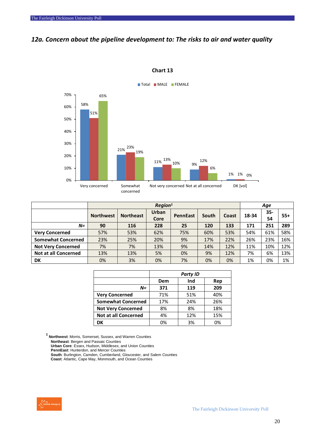#### *12a. Concern about the pipeline development to: The risks to air and water quality*

![](_page_19_Figure_2.jpeg)

**Chart 13**

|                             |                  |                  | $\textit{Region}^1$ |                 |       |       | Age   |           |       |
|-----------------------------|------------------|------------------|---------------------|-----------------|-------|-------|-------|-----------|-------|
|                             | <b>Northwest</b> | <b>Northeast</b> | Urban<br>Core       | <b>PennEast</b> | South | Coast | 18-34 | 35-<br>54 | $55+$ |
| $N=$                        | 90               | 116              | 228                 | 25              | 120   | 133   | 171   | 251       | 289   |
| <b>Very Concerned</b>       | 57%              | 53%              | 62%                 | 75%             | 60%   | 53%   | 54%   | 61%       | 58%   |
| <b>Somewhat Concerned</b>   | 23%              | 25%              | 20%                 | 9%              | 17%   | 22%   | 26%   | 23%       | 16%   |
| <b>Not Very Concerned</b>   | 7%               | 7%               | 13%                 | 9%              | 14%   | 12%   | 11%   | 10%       | 12%   |
| <b>Not at all Concerned</b> | 13%              | 13%              | 5%                  | 0%              | 9%    | 12%   | 7%    | 6%        | 13%   |
| <b>DK</b>                   | 0%               | 3%               | 0%                  | 7%              | 0%    | 0%    | 1%    | 0%        | 1%    |

|                             |     | <b>Party ID</b> |     |
|-----------------------------|-----|-----------------|-----|
|                             | Dem | Ind             | Rep |
| $N =$                       | 371 | 119             | 209 |
| <b>Very Concerned</b>       | 71% | 51%             | 40% |
| <b>Somewhat Concerned</b>   | 17% | 24%             | 26% |
| <b>Not Very Concerned</b>   | 8%  | 8%              | 18% |
| <b>Not at all Concerned</b> | 4%  | 12%             | 15% |
| DK                          | 0%  | 3%              | 0%  |

**<sup>1</sup>Northwest**: Morris, Somerset, Sussex, and Warren Counties

**Northeast**: Bergen and Passaic Counties

**Urban Core**: Essex, Hudson, Middlesex, and Union Counties

**PennEast**: Hunterdon, and Mercer Counties

**South**: Burlington, Camden, Cumberland, Gloucester, and Salem Counties

![](_page_19_Picture_12.jpeg)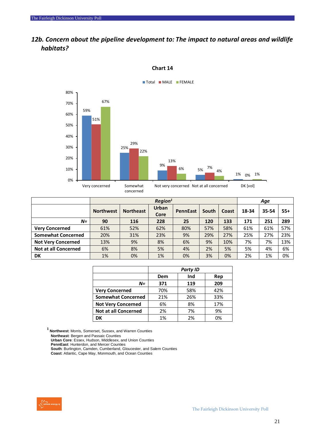#### *12b. Concern about the pipeline development to: The impact to natural areas and wildlife habitats?*

![](_page_20_Figure_2.jpeg)

#### **Chart 14**

|                             |                  | Region <sup>1</sup> |                      |                 |       |       |       | Age   |       |  |
|-----------------------------|------------------|---------------------|----------------------|-----------------|-------|-------|-------|-------|-------|--|
|                             | <b>Northwest</b> | <b>Northeast</b>    | <b>Urban</b><br>Core | <b>PennEast</b> | South | Coast | 18-34 | 35-54 | $55+$ |  |
| $N =$                       | 90               | 116                 | 228                  | 25              | 120   | 133   | 171   | 251   | 289   |  |
| <b>Very Concerned</b>       | 61%              | 52%                 | 62%                  | 80%             | 57%   | 58%   | 61%   | 61%   | 57%   |  |
| <b>Somewhat Concerned</b>   | 20%              | 31%                 | 23%                  | 9%              | 29%   | 27%   | 25%   | 27%   | 23%   |  |
| <b>Not Very Concerned</b>   | 13%              | 9%                  | 8%                   | 6%              | 9%    | 10%   | 7%    | 7%    | 13%   |  |
| <b>Not at all Concerned</b> | 6%               | 8%                  | 5%                   | 4%              | 2%    | 5%    | 5%    | 4%    | 6%    |  |
| DK                          | 1%               | 0%                  | 1%                   | 0%              | 3%    | 0%    | 2%    | 1%    | 0%    |  |

|                             | <b>Party ID</b> |     |     |  |  |  |  |
|-----------------------------|-----------------|-----|-----|--|--|--|--|
|                             | Dem             | Ind | Rep |  |  |  |  |
| $N =$                       | 371             | 119 | 209 |  |  |  |  |
| <b>Very Concerned</b>       | 70%             | 58% | 42% |  |  |  |  |
| <b>Somewhat Concerned</b>   | 21%             | 26% | 33% |  |  |  |  |
| <b>Not Very Concerned</b>   | 6%              | 8%  | 17% |  |  |  |  |
| <b>Not at all Concerned</b> | 2%              | 7%  | 9%  |  |  |  |  |
| DK                          | 1%              | 2%  | 0%  |  |  |  |  |

**<sup>1</sup>Northwest**: Morris, Somerset, Sussex, and Warren Counties

**Northeast**: Bergen and Passaic Counties

**Urban Core**: Essex, Hudson, Middlesex, and Union Counties

**PennEast**: Hunterdon, and Mercer Counties

**South**: Burlington, Camden, Cumberland, Gloucester, and Salem Counties

![](_page_20_Picture_12.jpeg)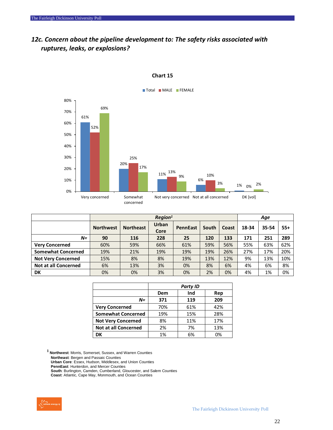#### *12c. Concern about the pipeline development to: The safety risks associated with ruptures, leaks, or explosions?*

![](_page_21_Figure_2.jpeg)

#### **Chart 15**

|                             |                  | Region <sup>1</sup> |                      |                 |       |       |       | Age   |       |  |
|-----------------------------|------------------|---------------------|----------------------|-----------------|-------|-------|-------|-------|-------|--|
|                             | <b>Northwest</b> | <b>Northeast</b>    | <b>Urban</b><br>Core | <b>PennEast</b> | South | Coast | 18-34 | 35-54 | $55+$ |  |
| $N =$                       | 90               | 116                 | 228                  | 25              | 120   | 133   | 171   | 251   | 289   |  |
| <b>Very Concerned</b>       | 60%              | 59%                 | 66%                  | 61%             | 59%   | 56%   | 55%   | 63%   | 62%   |  |
| <b>Somewhat Concerned</b>   | 19%              | 21%                 | 19%                  | 19%             | 19%   | 26%   | 27%   | 17%   | 20%   |  |
| <b>Not Very Concerned</b>   | 15%              | 8%                  | 8%                   | 19%             | 13%   | 12%   | 9%    | 13%   | 10%   |  |
| <b>Not at all Concerned</b> | 6%               | 13%                 | 3%                   | 0%              | 8%    | 6%    | 4%    | 6%    | 8%    |  |
| <b>DK</b>                   | 0%               | 0%                  | 3%                   | 0%              | 2%    | 0%    | 4%    | 1%    | 0%    |  |

|                             | <b>Party ID</b> |     |     |  |  |  |  |
|-----------------------------|-----------------|-----|-----|--|--|--|--|
|                             | Dem             | Ind | Rep |  |  |  |  |
| N=                          | 371             | 119 | 209 |  |  |  |  |
| <b>Very Concerned</b>       | 70%             | 61% | 42% |  |  |  |  |
| <b>Somewhat Concerned</b>   | 19%             | 15% | 28% |  |  |  |  |
| <b>Not Very Concerned</b>   | 8%              | 11% | 17% |  |  |  |  |
| <b>Not at all Concerned</b> | 2%              | 7%  | 13% |  |  |  |  |
| DK                          | 1%              | 6%  | 0%  |  |  |  |  |

**<sup>1</sup>Northwest**: Morris, Somerset, Sussex, and Warren Counties

**Northeast**: Bergen and Passaic Counties

**Urban Core**: Essex, Hudson, Middlesex, and Union Counties

**PennEast**: Hunterdon, and Mercer Counties

**South**: Burlington, Camden, Cumberland, Gloucester, and Salem Counties

![](_page_21_Picture_12.jpeg)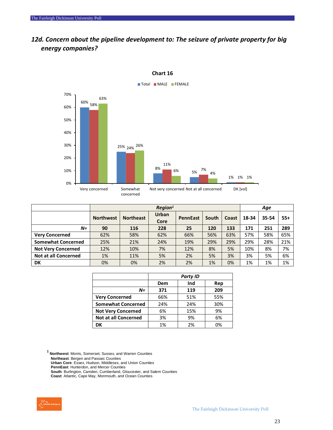#### *12d. Concern about the pipeline development to: The seizure of private property for big energy companies?*

![](_page_22_Figure_2.jpeg)

**Chart 16**

|                             |                  | Region <sup>1</sup> |                      |                 |       |       |       | Age   |       |  |
|-----------------------------|------------------|---------------------|----------------------|-----------------|-------|-------|-------|-------|-------|--|
|                             | <b>Northwest</b> | <b>Northeast</b>    | <b>Urban</b><br>Core | <b>PennEast</b> | South | Coast | 18-34 | 35-54 | $55+$ |  |
| $N=$                        | 90               | 116                 | 228                  | 25              | 120   | 133   | 171   | 251   | 289   |  |
| <b>Very Concerned</b>       | 62%              | 58%                 | 62%                  | 66%             | 56%   | 63%   | 57%   | 58%   | 65%   |  |
| <b>Somewhat Concerned</b>   | 25%              | 21%                 | 24%                  | 19%             | 29%   | 29%   | 29%   | 28%   | 21%   |  |
| <b>Not Very Concerned</b>   | 12%              | 10%                 | 7%                   | 12%             | 8%    | 5%    | 10%   | 8%    | 7%    |  |
| <b>Not at all Concerned</b> | 1%               | 11%                 | 5%                   | 2%              | 5%    | 3%    | 3%    | 5%    | 6%    |  |
| DK                          | 0%               | 0%                  | 2%                   | 2%              | 1%    | 0%    | 1%    | 1%    | 1%    |  |

|                             | <b>Party ID</b> |     |     |  |  |  |  |
|-----------------------------|-----------------|-----|-----|--|--|--|--|
|                             | Dem             | Ind | Rep |  |  |  |  |
| N=                          | 371             | 119 | 209 |  |  |  |  |
| <b>Very Concerned</b>       | 66%             | 51% | 55% |  |  |  |  |
| <b>Somewhat Concerned</b>   | 24%             | 24% | 30% |  |  |  |  |
| <b>Not Very Concerned</b>   | 6%              | 15% | 9%  |  |  |  |  |
| <b>Not at all Concerned</b> | 3%              | 9%  | 6%  |  |  |  |  |
| DK                          | 1%              | 2%  | 0%  |  |  |  |  |

**<sup>1</sup>Northwest**: Morris, Somerset, Sussex, and Warren Counties

**Northeast**: Bergen and Passaic Counties

**Urban Core**: Essex, Hudson, Middlesex, and Union Counties

**PennEast**: Hunterdon, and Mercer Counties

**South**: Burlington, Camden, Cumberland, Gloucester, and Salem Counties **Coast**: Atlantic, Cape May, Monmouth, and Ocean Counties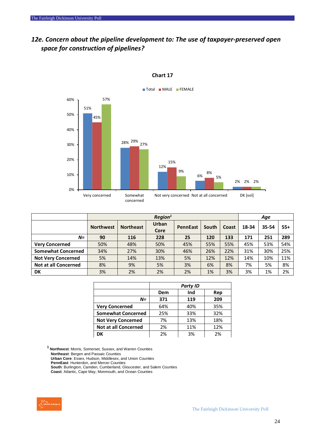#### *12e. Concern about the pipeline development to: The use of taxpayer-preserved open space for construction of pipelines?*

![](_page_23_Figure_2.jpeg)

#### **Chart 17**

|                             |                  | Region <sup>1</sup> |                      |                 |       |       |       |       | Age   |  |  |
|-----------------------------|------------------|---------------------|----------------------|-----------------|-------|-------|-------|-------|-------|--|--|
|                             | <b>Northwest</b> | <b>Northeast</b>    | <b>Urban</b><br>Core | <b>PennEast</b> | South | Coast | 18-34 | 35-54 | $55+$ |  |  |
| $N=$                        | 90               | 116                 | 228                  | 25              | 120   | 133   | 171   | 251   | 289   |  |  |
| <b>Very Concerned</b>       | 50%              | 48%                 | 50%                  | 45%             | 55%   | 55%   | 45%   | 53%   | 54%   |  |  |
| <b>Somewhat Concerned</b>   | 34%              | 27%                 | 30%                  | 46%             | 26%   | 22%   | 31%   | 30%   | 25%   |  |  |
| <b>Not Very Concerned</b>   | 5%               | 14%                 | 13%                  | 5%              | 12%   | 12%   | 14%   | 10%   | 11%   |  |  |
| <b>Not at all Concerned</b> | 8%               | 9%                  | 5%                   | 3%              | 6%    | 8%    | 7%    | 5%    | 8%    |  |  |
| DK                          | 3%               | 2%                  | 2%                   | 2%              | 1%    | 3%    | 3%    | 1%    | 2%    |  |  |

|                             | <b>Party ID</b> |     |     |  |  |
|-----------------------------|-----------------|-----|-----|--|--|
|                             | Dem             | Ind | Rep |  |  |
| $N =$                       | 371             | 119 | 209 |  |  |
| <b>Very Concerned</b>       | 64%             | 40% | 35% |  |  |
| <b>Somewhat Concerned</b>   | 25%             | 33% | 32% |  |  |
| <b>Not Very Concerned</b>   | 7%              | 13% | 18% |  |  |
| <b>Not at all Concerned</b> | 2%              | 11% | 12% |  |  |
| DK                          | 2%              | 3%  | 2%  |  |  |

**<sup>1</sup>Northwest**: Morris, Somerset, Sussex, and Warren Counties

**Northeast**: Bergen and Passaic Counties

**Urban Core**: Essex, Hudson, Middlesex, and Union Counties

**PennEast**: Hunterdon, and Mercer Counties

**South**: Burlington, Camden, Cumberland, Gloucester, and Salem Counties

![](_page_23_Picture_12.jpeg)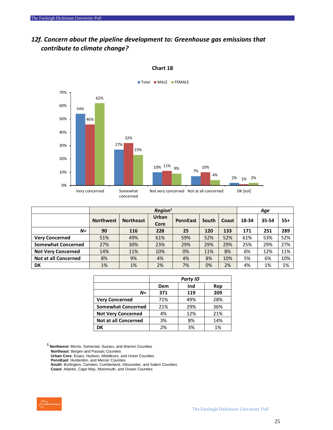#### *12f. Concern about the pipeline development to: Greenhouse gas emissions that contribute to climate change?*

![](_page_24_Figure_2.jpeg)

#### **Chart 18**

|                             |                  | Region <sup>1</sup> |               |                 |       | Age   |       |       |       |
|-----------------------------|------------------|---------------------|---------------|-----------------|-------|-------|-------|-------|-------|
|                             | <b>Northwest</b> | <b>Northeast</b>    | Urban<br>Core | <b>PennEast</b> | South | Coast | 18-34 | 35-54 | $55+$ |
| $N =$                       | 90               | 116                 | 228           | 25              | 120   | 133   | 171   | 251   | 289   |
| <b>Very Concerned</b>       | 51%              | 49%                 | 61%           | 59%             | 52%   | 52%   | 61%   | 53%   | 52%   |
| <b>Somewhat Concerned</b>   | 27%              | 30%                 | 23%           | 29%             | 29%   | 29%   | 25%   | 29%   | 27%   |
| <b>Not Very Concerned</b>   | 14%              | 11%                 | 10%           | 0%              | 11%   | 8%    | 6%    | 12%   | 11%   |
| <b>Not at all Concerned</b> | 8%               | 9%                  | 4%            | 4%              | 8%    | 10%   | 5%    | 6%    | 10%   |
| DK                          | 1%               | 1%                  | 2%            | 7%              | 0%    | 2%    | 4%    | 1%    | 1%    |

|                             | <b>Party ID</b> |     |     |  |  |
|-----------------------------|-----------------|-----|-----|--|--|
|                             | Dem             | Ind | Rep |  |  |
| N=                          | 371             | 119 | 209 |  |  |
| <b>Very Concerned</b>       | 71%             | 49% | 28% |  |  |
| <b>Somewhat Concerned</b>   | 21%             | 29% | 36% |  |  |
| <b>Not Very Concerned</b>   | 4%              | 12% | 21% |  |  |
| <b>Not at all Concerned</b> | 3%              | 8%  | 14% |  |  |
| DK                          | 2%              | 3%  | 1%  |  |  |

**<sup>1</sup>Northwest**: Morris, Somerset, Sussex, and Warren Counties

**Northeast**: Bergen and Passaic Counties

**Urban Core**: Essex, Hudson, Middlesex, and Union Counties

**PennEast**: Hunterdon, and Mercer Counties

**South**: Burlington, Camden, Cumberland, Gloucester, and Salem Counties

![](_page_24_Picture_12.jpeg)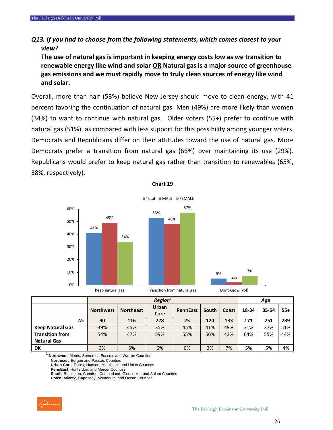#### *Q13. If you had to choose from the following statements, which comes closest to your view?*

**The use of natural gas is important in keeping energy costs low as we transition to renewable energy like wind and solar OR Natural gas is a major source of greenhouse gas emissions and we must rapidly move to truly clean sources of energy like wind and solar.**

Overall, more than half (53%) believe New Jersey should move to clean energy, with 41 percent favoring the continuation of natural gas. Men (49%) are more likely than women (34%) to want to continue with natural gas. Older voters (55+) prefer to continue with natural gas (51%), as compared with less support for this possibility among younger voters. Democrats and Republicans differ on their attitudes toward the use of natural gas. More Democrats prefer a transition from natural gas (66%) over maintaining its use (29%). Republicans would prefer to keep natural gas rather than transition to renewables (65%, 38%, respectively).

![](_page_25_Figure_4.jpeg)

| Chart 19 |  |
|----------|--|
|----------|--|

|                         | Region <sup>1</sup> |                  |                      |                 |       | Age   |       |       |       |
|-------------------------|---------------------|------------------|----------------------|-----------------|-------|-------|-------|-------|-------|
|                         | <b>Northwest</b>    | <b>Northeast</b> | <b>Urban</b><br>Core | <b>PennEast</b> | South | Coast | 18-34 | 35-54 | $55+$ |
| $N=$                    | 90                  | 116              | 228                  | 25              | 120   | 133   | 171   | 251   | 289   |
| <b>Keep Natural Gas</b> | 39%                 | 45%              | 35%                  | 45%             | 41%   | 49%   | 31%   | 37%   | 51%   |
| <b>Transition from</b>  | 54%                 | 47%              | 59%                  | 55%             | 56%   | 43%   | 64%   | 55%   | 44%   |
| <b>Natural Gas</b>      |                     |                  |                      |                 |       |       |       |       |       |
| DK                      | 3%                  | 5%               | 6%                   | 0%              | 2%    | 7%    | 5%    | 5%    | 4%    |

**<sup>1</sup>Northwest**: Morris, Somerset, Sussex, and Warren Counties

**Northeast**: Bergen and Passaic Counties

**Urban Core**: Essex, Hudson, Middlesex, and Union Counties

**PennEast**: Hunterdon, and Mercer Counties

**South**: Burlington, Camden, Cumberland, Gloucester, and Salem Counties **Coast**: Atlantic, Cape May, Monmouth, and Ocean Counties

![](_page_25_Picture_12.jpeg)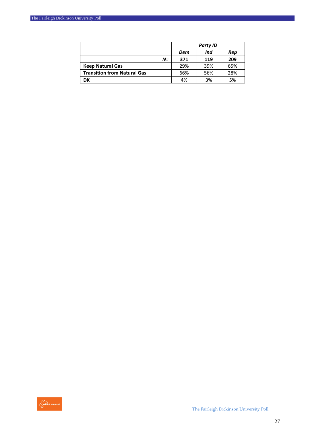|                                    | <b>Party ID</b> |     |     |  |
|------------------------------------|-----------------|-----|-----|--|
|                                    | Dem             | Ind | Rep |  |
| $N =$                              | 371             | 119 | 209 |  |
| <b>Keep Natural Gas</b>            | 29%             | 39% | 65% |  |
| <b>Transition from Natural Gas</b> | 66%             | 56% | 28% |  |
| DK                                 | 4%              | 3%  | 5%  |  |

![](_page_26_Picture_2.jpeg)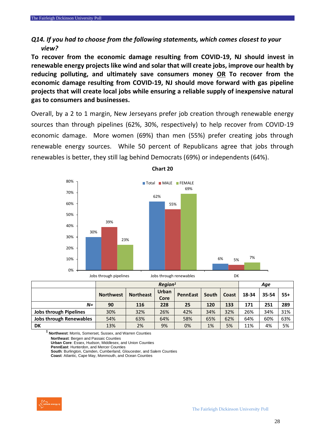#### *Q14. If you had to choose from the following statements, which comes closest to your view?*

**To recover from the economic damage resulting from COVID-19, NJ should invest in renewable energy projects like wind and solar that will create jobs, improve our health by reducing polluting, and ultimately save consumers money OR To recover from the economic damage resulting from COVID-19, NJ should move forward with gas pipeline projects that will create local jobs while ensuring a reliable supply of inexpensive natural gas to consumers and businesses.**

Overall, by a 2 to 1 margin, New Jerseyans prefer job creation through renewable energy sources than through pipelines (62%, 30%, respectively) to help recover from COVID-19 economic damage. More women (69%) than men (55%) prefer creating jobs through renewable energy sources. While 50 percent of Republicans agree that jobs through renewables is better, they still lag behind Democrats (69%) or independents (64%).

![](_page_27_Figure_4.jpeg)

**Chart 20**

|                                |                  | Region <sup>1</sup> |                      |                 |       |       |       | Age   |       |  |
|--------------------------------|------------------|---------------------|----------------------|-----------------|-------|-------|-------|-------|-------|--|
|                                | <b>Northwest</b> | <b>Northeast</b>    | <b>Urban</b><br>Core | <b>PennEast</b> | South | Coast | 18-34 | 35-54 | $55+$ |  |
| $N=$                           | 90               | 116                 | 228                  | 25              | 120   | 133   | 171   | 251   | 289   |  |
| <b>Jobs through Pipelines</b>  | 30%              | 32%                 | 26%                  | 42%             | 34%   | 32%   | 26%   | 34%   | 31%   |  |
| <b>Jobs through Renewables</b> | 54%              | 63%                 | 64%                  | 58%             | 65%   | 62%   | 64%   | 60%   | 63%   |  |
| <b>DK</b>                      | 13%              | 2%                  | 9%                   | 0%              | 1%    | 5%    | 11%   | 4%    | 5%    |  |

**<sup>1</sup>Northwest**: Morris, Somerset, Sussex, and Warren Counties **Northeast**: Bergen and Passaic Counties **Urban Core**: Essex, Hudson, Middlesex, and Union Counties **PennEast**: Hunterdon, and Mercer Counties

**South**: Burlington, Camden, Cumberland, Gloucester, and Salem Counties

![](_page_27_Picture_10.jpeg)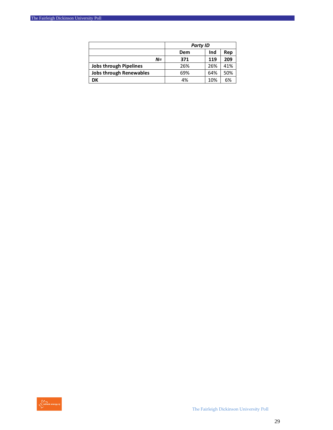|                                | Party ID          |     |     |
|--------------------------------|-------------------|-----|-----|
|                                | Ind<br>Rep<br>Dem |     |     |
| $N =$                          | 371               | 119 | 209 |
| <b>Jobs through Pipelines</b>  | 26%               | 26% | 41% |
| <b>Jobs through Renewables</b> | 69%               | 64% | 50% |
| DK                             | 4%                | 10% | 6%  |

![](_page_28_Picture_2.jpeg)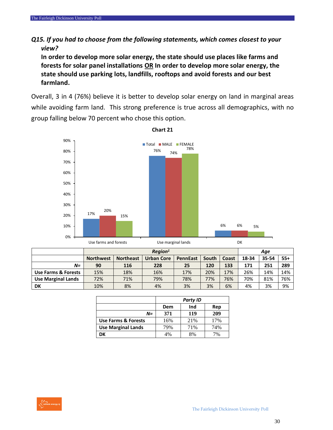#### *Q15. If you had to choose from the following statements, which comes closest to your view?*

**In order to develop more solar energy, the state should use places like farms and forests for solar panel installations OR In order to develop more solar energy, the state should use parking lots, landfills, rooftops and avoid forests and our best farmland.**

Overall, 3 in 4 (76%) believe it is better to develop solar energy on land in marginal areas while avoiding farm land. This strong preference is true across all demographics, with no group falling below 70 percent who chose this option.

![](_page_29_Figure_4.jpeg)

**Chart 21**

|                           | oschums unu iorcsus |                  |                   | <b>UJC IIIUI KIIIUI IUIIUJ</b> |       |       | יש    |       |       |
|---------------------------|---------------------|------------------|-------------------|--------------------------------|-------|-------|-------|-------|-------|
|                           | $\textit{Region}^1$ |                  |                   |                                |       |       | Aqe   |       |       |
|                           | <b>Northwest</b>    | <b>Northeast</b> | <b>Urban Core</b> | <b>PennEast</b>                | South | Coast | 18-34 | 35-54 | $55+$ |
| $N =$                     | 90                  | 116              | 228               | 25                             | 120   | 133   | 171   | 251   | 289   |
| Use Farms & Forests       | 15%                 | 18%              | 16%               | 17%                            | 20%   | 17%   | 26%   | 14%   | 14%   |
| <b>Use Marginal Lands</b> | 72%                 | 71%              | 79%               | 78%                            | 77%   | 76%   | 70%   | 81%   | 76%   |
| DK                        | 10%                 | 8%               | 4%                | 3%                             | 3%    | 6%    | 4%    | 3%    | 9%    |

|                           | <b>Party ID</b> |     |     |  |  |
|---------------------------|-----------------|-----|-----|--|--|
|                           | Dem             | Ind | Rep |  |  |
| N=                        | 371             | 119 | 209 |  |  |
| Use Farms & Forests       | 16%             | 21% | 17% |  |  |
| <b>Use Marginal Lands</b> | 79%             | 71% | 74% |  |  |
| DK                        | 4%              | 8%  | 7%  |  |  |

![](_page_29_Picture_8.jpeg)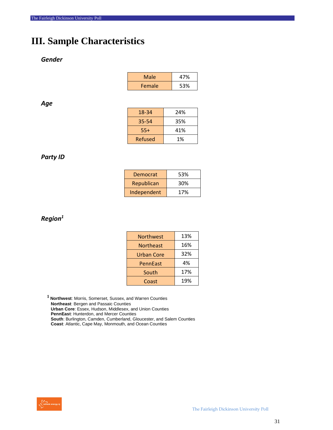#### **III. Sample Characteristics**

#### *Gender*

| Male   | 47% |
|--------|-----|
| Female | 53% |

#### *Age*

| 18-34   | 24% |
|---------|-----|
| 35-54   | 35% |
| 55+     | 41% |
| Refused | 1%  |

#### *Party ID*

| Democrat    | 53% |
|-------------|-----|
| Republican  | 30% |
| Independent | 17% |

#### *Region<sup>1</sup>*

| <b>Northwest</b>  | 13% |
|-------------------|-----|
| <b>Northeast</b>  | 16% |
| <b>Urban Core</b> | 32% |
| PennEast          | 4%  |
| South             | 17% |
| Coast             | 19% |

**<sup>1</sup>Northwest**: Morris, Somerset, Sussex, and Warren Counties **Northeast**: Bergen and Passaic Counties **Urban Core**: Essex, Hudson, Middlesex, and Union Counties **PennEast**: Hunterdon, and Mercer Counties **South**: Burlington, Camden, Cumberland, Gloucester, and Salem Counties **Coast**: Atlantic, Cape May, Monmouth, and Ocean Counties

![](_page_30_Picture_11.jpeg)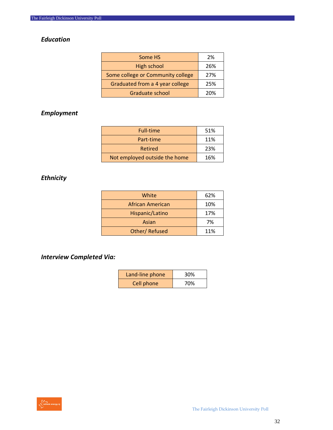#### *Education*

| Some HS                           | 2%  |
|-----------------------------------|-----|
| High school                       | 26% |
| Some college or Community college | 27% |
| Graduated from a 4 year college   | 25% |
| Graduate school                   | 20% |

#### *Employment*

| <b>Full-time</b>              | 51% |
|-------------------------------|-----|
| Part-time                     | 11% |
| Retired                       | 23% |
| Not employed outside the home | 16% |

#### *Ethnicity*

| White            | 62% |
|------------------|-----|
| African American | 10% |
| Hispanic/Latino  | 17% |
| Asian            | 7%  |
| Other/Refused    | 11% |

*Interview Completed Via:*

| Land-line phone | 30% |
|-----------------|-----|
| Cell phone      | 70% |

![](_page_31_Picture_9.jpeg)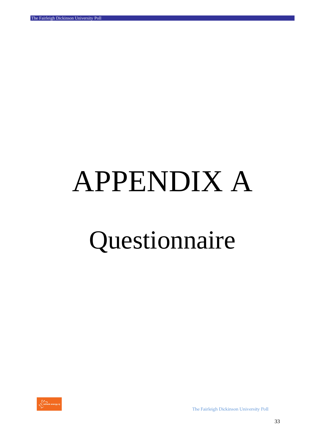# APPENDIX A

# Questionnaire

![](_page_32_Picture_3.jpeg)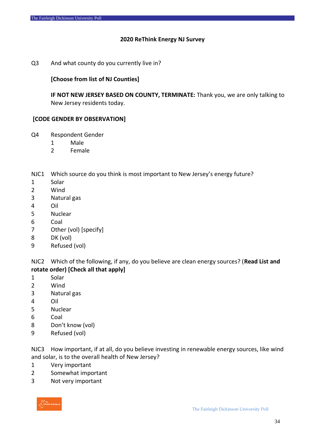#### **ReThink Energy NJ Survey**

#### Q3 And what county do you currently live in?

#### **[Choose from list of NJ Counties]**

**IF NOT NEW JERSEY BASED ON COUNTY, TERMINATE:** Thank you, we are only talking to New Jersey residents today.

#### **[CODE GENDER BY OBSERVATION]**

- Q4 Respondent Gender
	- Male
	- Female

NJC1 Which source do you think is most important to New Jersey's energy future?

- Solar
- Wind
- Natural gas
- Oil
- Nuclear
- Coal
- Other (vol) [specify]
- DK (vol)
- Refused (vol)

NJC2 Which of the following, if any, do you believe are clean energy sources? (**Read List and rotate order) [Check all that apply]** 

- Solar
- Wind
- Natural gas
- Oil
- Nuclear
- Coal
- Don't know (vol)
- Refused (vol)

NJC3 How important, if at all, do you believe investing in renewable energy sources, like wind and solar, is to the overall health of New Jersey?

- Very important
- Somewhat important
- Not very important

![](_page_33_Picture_32.jpeg)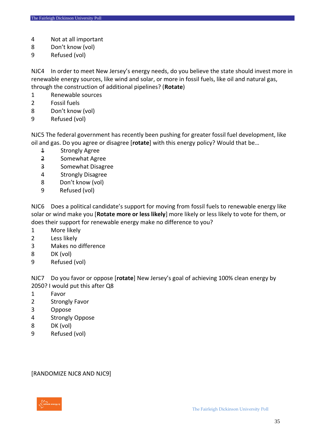- Not at all important
- Don't know (vol)
- Refused (vol)

NJC4 In order to meet New Jersey's energy needs, do you believe the state should invest more in renewable energy sources, like wind and solar, or more in fossil fuels, like oil and natural gas, through the construction of additional pipelines? (**Rotate**)

- Renewable sources
- Fossil fuels
- Don't know (vol)
- Refused (vol)

NJC5 The federal government has recently been pushing for greater fossil fuel development, like oil and gas. Do you agree or disagree [**rotate**] with this energy policy? Would that be…

- Strongly Agree
- Somewhat Agree
- Somewhat Disagree
- Strongly Disagree
- Don't know (vol)
- 9 Refused (vol)

NJC6 Does a political candidate's support for moving from fossil fuels to renewable energy like solar or wind make you [**Rotate more or less likely**] more likely or less likely to vote for them, or does their support for renewable energy make no difference to you?

- More likely
- Less likely
- Makes no difference
- DK (vol)
- Refused (vol)

NJC7 Do you favor or oppose [**rotate**] New Jersey's goal of achieving 100% clean energy by 2050? I would put this after Q8

- Favor
- Strongly Favor
- Oppose
- Strongly Oppose
- DK (vol)
- Refused (vol)

[RANDOMIZE NJC8 AND NJC9]

![](_page_34_Picture_30.jpeg)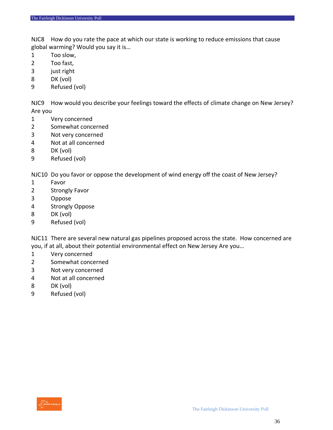NJC8 How do you rate the pace at which our state is working to reduce emissions that cause global warming? Would you say it is…

- Too slow,
- Too fast,
- just right
- DK (vol)
- Refused (vol)

NJC9 How would you describe your feelings toward the effects of climate change on New Jersey? Are you

- Very concerned
- Somewhat concerned
- Not very concerned
- Not at all concerned
- DK (vol)
- Refused (vol)

NJC10 Do you favor or oppose the development of wind energy off the coast of New Jersey?

- Favor
- Strongly Favor
- Oppose
- Strongly Oppose
- DK (vol)
- Refused (vol)

NJC11 There are several new natural gas pipelines proposed across the state. How concerned are you, if at all, about their potential environmental effect on New Jersey Are you…

- Very concerned
- Somewhat concerned
- Not very concerned
- Not at all concerned
- DK (vol)
- Refused (vol)

![](_page_35_Picture_28.jpeg)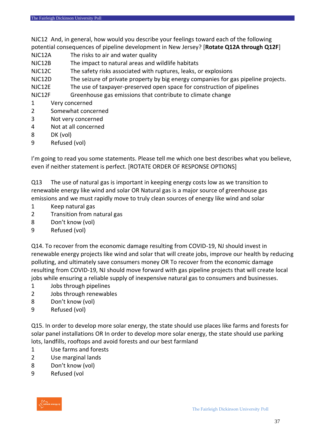NJC12 And, in general, how would you describe your feelings toward each of the following potential consequences of pipeline development in New Jersey? [**Rotate Q12A through Q12F**]

- NJC12A The risks to air and water quality
- NJC12B The impact to natural areas and wildlife habitats
- NJC12C The safety risks associated with ruptures, leaks, or explosions
- NJC12D The seizure of private property by big energy companies for gas pipeline projects.
- NJC12E The use of taxpayer-preserved open space for construction of pipelines

NJC12F Greenhouse gas emissions that contribute to climate change

- 1 Very concerned
- 2 Somewhat concerned
- 3 Not very concerned
- 4 Not at all concerned
- 8 DK (vol)
- 9 Refused (vol)

I'm going to read you some statements. Please tell me which one best describes what you believe, even if neither statement is perfect. [ROTATE ORDER OF RESPONSE OPTIONS]

Q13 The use of natural gas is important in keeping energy costs low as we transition to renewable energy like wind and solar OR Natural gas is a major source of greenhouse gas emissions and we must rapidly move to truly clean sources of energy like wind and solar

- 1 Keep natural gas
- 2 Transition from natural gas
- 8 Don't know (vol)
- 9 Refused (vol)

Q14. To recover from the economic damage resulting from COVID-19, NJ should invest in renewable energy projects like wind and solar that will create jobs, improve our health by reducing polluting, and ultimately save consumers money OR To recover from the economic damage resulting from COVID-19, NJ should move forward with gas pipeline projects that will create local jobs while ensuring a reliable supply of inexpensive natural gas to consumers and businesses.

- 1 Jobs through pipelines
- 2 Jobs through renewables
- 8 Don't know (vol)
- 9 Refused (vol)

Q15. In order to develop more solar energy, the state should use places like farms and forests for solar panel installations OR In order to develop more solar energy, the state should use parking lots, landfills, rooftops and avoid forests and our best farmland

- 1 Use farms and forests
- 2 Use marginal lands
- 8 Don't know (vol)
- 9 Refused (vol

![](_page_36_Picture_30.jpeg)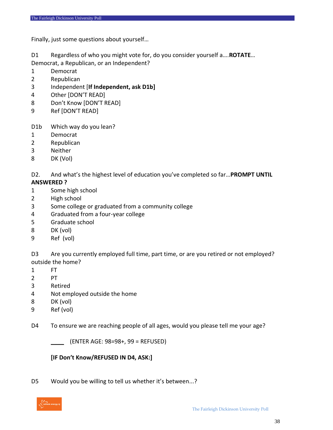Finally, just some questions about yourself…

D1 Regardless of who you might vote for, do you consider yourself a….**ROTATE**… Democrat, a Republican, or an Independent?

- Democrat
- Republican
- Independent [**If Independent, ask D1b]**
- Other [DON'T READ]
- Don't Know [DON'T READ]
- Ref [DON'T READ]
- D1b Which way do you lean?
- Democrat
- Republican
- Neither
- DK (Vol)

D2. And what's the highest level of education you've completed so far…**PROMPT UNTIL** 

#### **ANSWERED ?**

- Some high school
- High school
- Some college or graduated from a community college
- Graduated from a four-year college
- Graduate school
- DK (vol)
- Ref (vol)

D3 Are you currently employed full time, part time, or are you retired or not employed? outside the home?

- FT
- PT
- Retired
- Not employed outside the home
- DK (vol)
- Ref (vol)
- D4 To ensure we are reaching people of all ages, would you please tell me your age?

\_\_\_\_ (ENTER AGE: 98=98+, 99 = REFUSED)

#### **[IF Don't Know/REFUSED IN D4, ASK:]**

D5 Would you be willing to tell us whether it's between...?

![](_page_37_Picture_34.jpeg)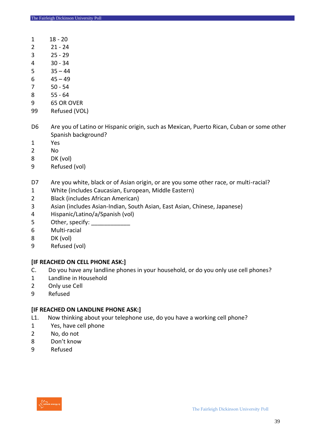- 1 18 20
- 21 24
- 25 29
- 30 34
- $35 44$
- $45 49$
- 7 50 54
- 8 55 64
- 65 OR OVER
- Refused (VOL)
- D6 Are you of Latino or Hispanic origin, such as Mexican, Puerto Rican, Cuban or some other Spanish background?
- Yes
- No
- DK (vol)
- Refused (vol)
- D7 Are you white, black or of Asian origin, or are you some other race, or multi-racial?
- White (includes Caucasian, European, Middle Eastern)
- Black (includes African American)
- Asian (includes Asian-Indian, South Asian, East Asian, Chinese, Japanese)
- Hispanic/Latino/a/Spanish (vol)
- 5 Other, specify:
- Multi-racial
- DK (vol)
- Refused (vol)

#### **[IF REACHED ON CELL PHONE ASK:]**

- C. Do you have any landline phones in your household, or do you only use cell phones?
- Landline in Household
- Only use Cell
- Refused

#### **[IF REACHED ON LANDLINE PHONE ASK:]**

- L1. Now thinking about your telephone use, do you have a working cell phone?
- Yes, have cell phone
- No, do not
- Don't know
- Refused

![](_page_38_Picture_36.jpeg)